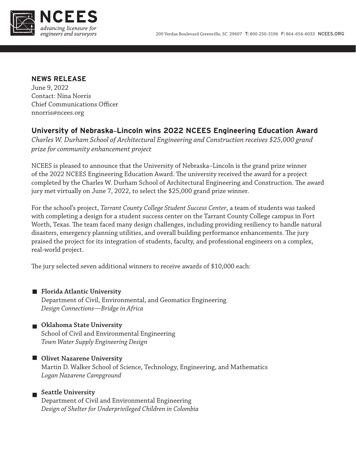

## **NEWS RELEASE**

June 9, 2022 Contact: Nina Norris Chief Communications Officer nnorris@ncees.org

# **University of Nebraska–Lincoln wins 2022 NCEES Engineering Education Award**

*Charles W. Durham School of Architectural Engineering and Construction receives \$25,000 grand prize for community enhancement project*

NCEES is pleased to announce that the University of Nebraska–Lincoln is the grand prize winner of the 2022 NCEES Engineering Education Award. The university received the award for a project completed by the Charles W. Durham School of Architectural Engineering and Construction. The award jury met virtually on June 7, 2022, to select the \$25,000 grand prize winner.

For the school's project, *Tarrant County College Student Success Center*, a team of students was tasked with completing a design for a student success center on the Tarrant County College campus in Fort Worth, Texas. The team faced many design challenges, including providing resiliency to handle natural disasters, emergency planning utilities, and overall building performance enhancements. The jury praised the project for its integration of students, faculty, and professional engineers on a complex, real-world project.

The jury selected seven additional winners to receive awards of \$10,000 each:

**Florida Atlantic University** Department of Civil, Environmental, and Geomatics Engineering *Design Connections—Bridge in Africa*

# **Oklahoma State University** School of Civil and Environmental Engineering *Town Water Supply Engineering Design*

**Olivet Nazarene University** Martin D. Walker School of Science, Technology, Engineering, and Mathematics *Logan Nazarene Campground*

# **Seattle University**

Department of Civil and Environmental Engineering *Design of Shelter for Underprivileged Children in Colombia*